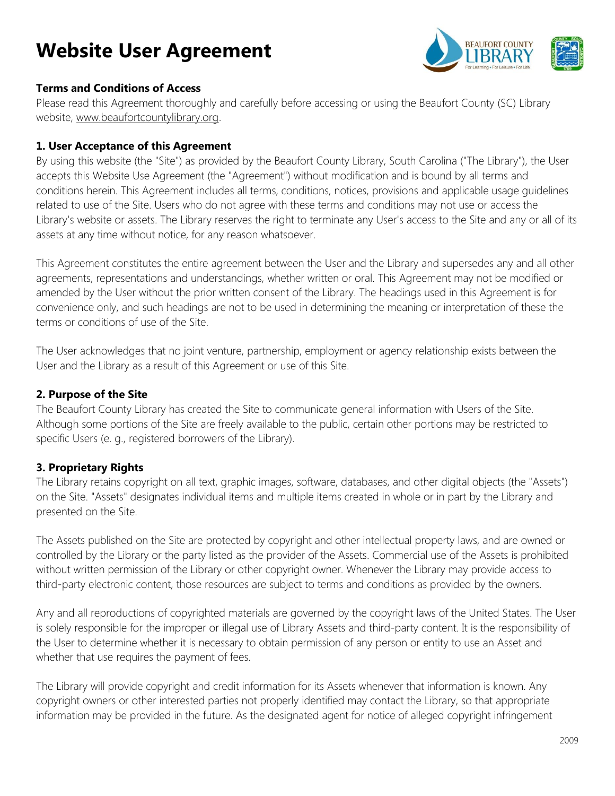# **Website User Agreement**



### **Terms and Conditions of Access**

Please read this Agreement thoroughly and carefully before accessing or using the Beaufort County (SC) Library website, [www.beaufortcountylibrary.org.](http://www.beaufortcountylibrary.org/)

### **1. User Acceptance of this Agreement**

By using this website (the "Site") as provided by the Beaufort County Library, South Carolina ("The Library"), the User accepts this Website Use Agreement (the "Agreement") without modification and is bound by all terms and conditions herein. This Agreement includes all terms, conditions, notices, provisions and applicable usage guidelines related to use of the Site. Users who do not agree with these terms and conditions may not use or access the Library's website or assets. The Library reserves the right to terminate any User's access to the Site and any or all of its assets at any time without notice, for any reason whatsoever.

This Agreement constitutes the entire agreement between the User and the Library and supersedes any and all other agreements, representations and understandings, whether written or oral. This Agreement may not be modified or amended by the User without the prior written consent of the Library. The headings used in this Agreement is for convenience only, and such headings are not to be used in determining the meaning or interpretation of these the terms or conditions of use of the Site.

The User acknowledges that no joint venture, partnership, employment or agency relationship exists between the User and the Library as a result of this Agreement or use of this Site.

#### **2. Purpose of the Site**

The Beaufort County Library has created the Site to communicate general information with Users of the Site. Although some portions of the Site are freely available to the public, certain other portions may be restricted to specific Users (e. g., registered borrowers of the Library).

## **3. Proprietary Rights**

The Library retains copyright on all text, graphic images, software, databases, and other digital objects (the "Assets") on the Site. "Assets" designates individual items and multiple items created in whole or in part by the Library and presented on the Site.

The Assets published on the Site are protected by copyright and other intellectual property laws, and are owned or controlled by the Library or the party listed as the provider of the Assets. Commercial use of the Assets is prohibited without written permission of the Library or other copyright owner. Whenever the Library may provide access to third-party electronic content, those resources are subject to terms and conditions as provided by the owners.

Any and all reproductions of copyrighted materials are governed by the copyright laws of the United States. The User is solely responsible for the improper or illegal use of Library Assets and third-party content. It is the responsibility of the User to determine whether it is necessary to obtain permission of any person or entity to use an Asset and whether that use requires the payment of fees.

The Library will provide copyright and credit information for its Assets whenever that information is known. Any copyright owners or other interested parties not properly identified may contact the Library, so that appropriate information may be provided in the future. As the designated agent for notice of alleged copyright infringement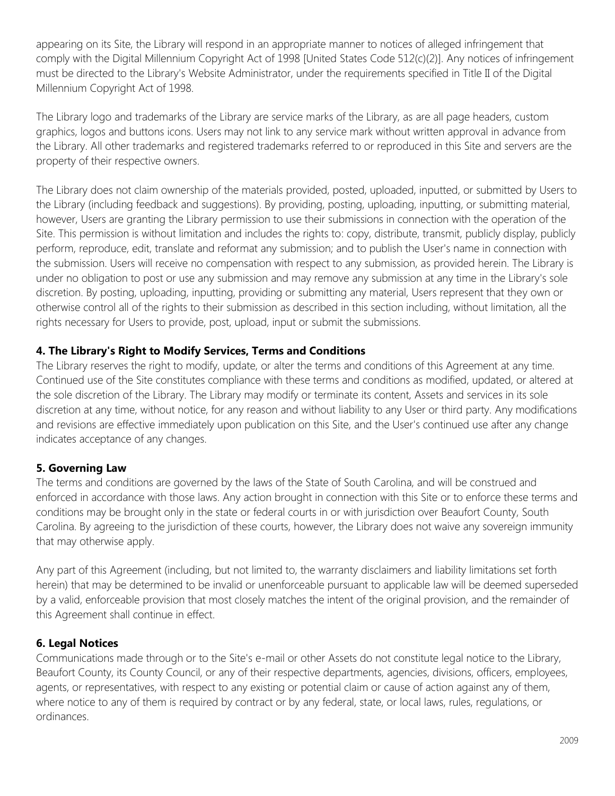appearing on its Site, the Library will respond in an appropriate manner to notices of alleged infringement that comply with the Digital Millennium Copyright Act of 1998 [United States Code 512(c)(2)]. Any notices of infringement must be directed to the Library's Website Administrator, under the requirements specified in Title II of the Digital Millennium Copyright Act of 1998.

The Library logo and trademarks of the Library are service marks of the Library, as are all page headers, custom graphics, logos and buttons icons. Users may not link to any service mark without written approval in advance from the Library. All other trademarks and registered trademarks referred to or reproduced in this Site and servers are the property of their respective owners.

The Library does not claim ownership of the materials provided, posted, uploaded, inputted, or submitted by Users to the Library (including feedback and suggestions). By providing, posting, uploading, inputting, or submitting material, however, Users are granting the Library permission to use their submissions in connection with the operation of the Site. This permission is without limitation and includes the rights to: copy, distribute, transmit, publicly display, publicly perform, reproduce, edit, translate and reformat any submission; and to publish the User's name in connection with the submission. Users will receive no compensation with respect to any submission, as provided herein. The Library is under no obligation to post or use any submission and may remove any submission at any time in the Library's sole discretion. By posting, uploading, inputting, providing or submitting any material, Users represent that they own or otherwise control all of the rights to their submission as described in this section including, without limitation, all the rights necessary for Users to provide, post, upload, input or submit the submissions.

## **4. The Library's Right to Modify Services, Terms and Conditions**

The Library reserves the right to modify, update, or alter the terms and conditions of this Agreement at any time. Continued use of the Site constitutes compliance with these terms and conditions as modified, updated, or altered at the sole discretion of the Library. The Library may modify or terminate its content, Assets and services in its sole discretion at any time, without notice, for any reason and without liability to any User or third party. Any modifications and revisions are effective immediately upon publication on this Site, and the User's continued use after any change indicates acceptance of any changes.

## **5. Governing Law**

The terms and conditions are governed by the laws of the State of South Carolina, and will be construed and enforced in accordance with those laws. Any action brought in connection with this Site or to enforce these terms and conditions may be brought only in the state or federal courts in or with jurisdiction over Beaufort County, South Carolina. By agreeing to the jurisdiction of these courts, however, the Library does not waive any sovereign immunity that may otherwise apply.

Any part of this Agreement (including, but not limited to, the warranty disclaimers and liability limitations set forth herein) that may be determined to be invalid or unenforceable pursuant to applicable law will be deemed superseded by a valid, enforceable provision that most closely matches the intent of the original provision, and the remainder of this Agreement shall continue in effect.

## **6. Legal Notices**

Communications made through or to the Site's e-mail or other Assets do not constitute legal notice to the Library, Beaufort County, its County Council, or any of their respective departments, agencies, divisions, officers, employees, agents, or representatives, with respect to any existing or potential claim or cause of action against any of them, where notice to any of them is required by contract or by any federal, state, or local laws, rules, regulations, or ordinances.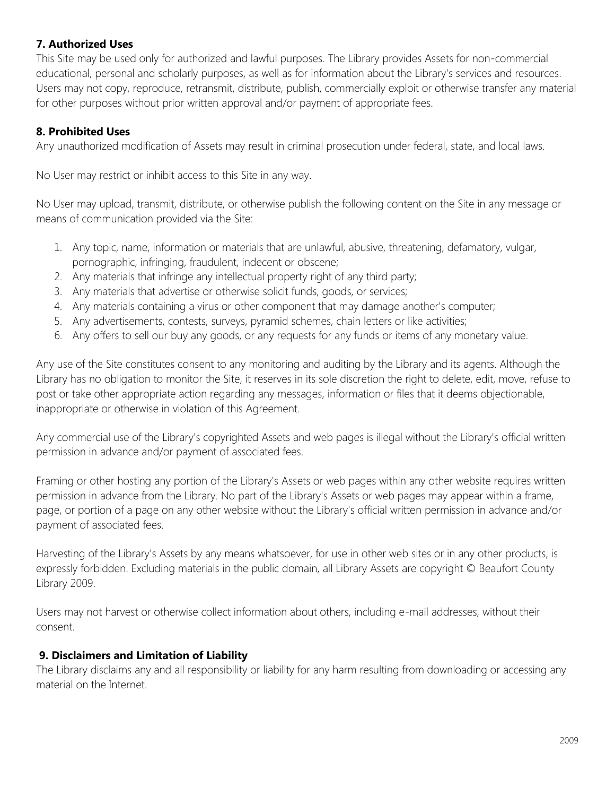## **7. Authorized Uses**

This Site may be used only for authorized and lawful purposes. The Library provides Assets for non-commercial educational, personal and scholarly purposes, as well as for information about the Library's services and resources. Users may not copy, reproduce, retransmit, distribute, publish, commercially exploit or otherwise transfer any material for other purposes without prior written approval and/or payment of appropriate fees.

## **8. Prohibited Uses**

Any unauthorized modification of Assets may result in criminal prosecution under federal, state, and local laws.

No User may restrict or inhibit access to this Site in any way.

No User may upload, transmit, distribute, or otherwise publish the following content on the Site in any message or means of communication provided via the Site:

- 1. Any topic, name, information or materials that are unlawful, abusive, threatening, defamatory, vulgar, pornographic, infringing, fraudulent, indecent or obscene;
- 2. Any materials that infringe any intellectual property right of any third party;
- 3. Any materials that advertise or otherwise solicit funds, goods, or services;
- 4. Any materials containing a virus or other component that may damage another's computer;
- 5. Any advertisements, contests, surveys, pyramid schemes, chain letters or like activities;
- 6. Any offers to sell our buy any goods, or any requests for any funds or items of any monetary value.

Any use of the Site constitutes consent to any monitoring and auditing by the Library and its agents. Although the Library has no obligation to monitor the Site, it reserves in its sole discretion the right to delete, edit, move, refuse to post or take other appropriate action regarding any messages, information or files that it deems objectionable, inappropriate or otherwise in violation of this Agreement.

Any commercial use of the Library's copyrighted Assets and web pages is illegal without the Library's official written permission in advance and/or payment of associated fees.

Framing or other hosting any portion of the Library's Assets or web pages within any other website requires written permission in advance from the Library. No part of the Library's Assets or web pages may appear within a frame, page, or portion of a page on any other website without the Library's official written permission in advance and/or payment of associated fees.

Harvesting of the Library's Assets by any means whatsoever, for use in other web sites or in any other products, is expressly forbidden. Excluding materials in the public domain, all Library Assets are copyright © Beaufort County Library 2009.

Users may not harvest or otherwise collect information about others, including e-mail addresses, without their consent.

## **9. Disclaimers and Limitation of Liability**

The Library disclaims any and all responsibility or liability for any harm resulting from downloading or accessing any material on the Internet.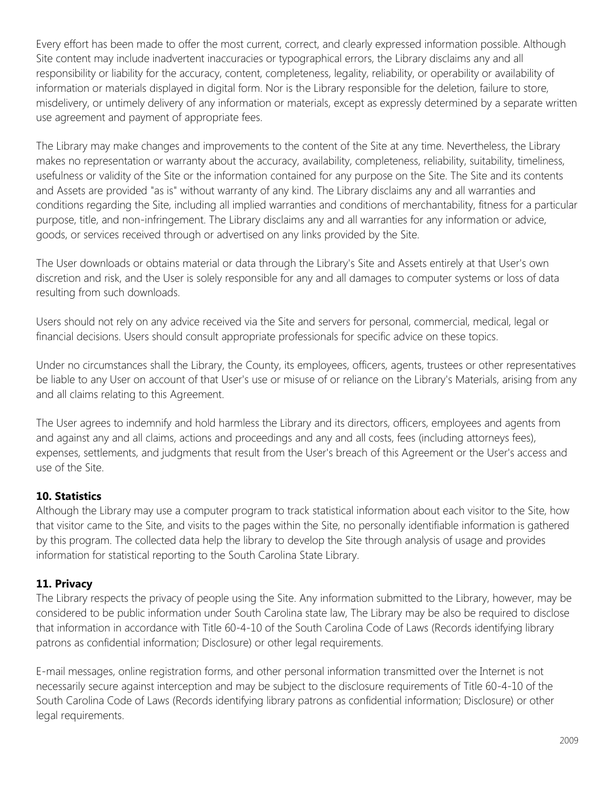Every effort has been made to offer the most current, correct, and clearly expressed information possible. Although Site content may include inadvertent inaccuracies or typographical errors, the Library disclaims any and all responsibility or liability for the accuracy, content, completeness, legality, reliability, or operability or availability of information or materials displayed in digital form. Nor is the Library responsible for the deletion, failure to store, misdelivery, or untimely delivery of any information or materials, except as expressly determined by a separate written use agreement and payment of appropriate fees.

The Library may make changes and improvements to the content of the Site at any time. Nevertheless, the Library makes no representation or warranty about the accuracy, availability, completeness, reliability, suitability, timeliness, usefulness or validity of the Site or the information contained for any purpose on the Site. The Site and its contents and Assets are provided "as is" without warranty of any kind. The Library disclaims any and all warranties and conditions regarding the Site, including all implied warranties and conditions of merchantability, fitness for a particular purpose, title, and non-infringement. The Library disclaims any and all warranties for any information or advice, goods, or services received through or advertised on any links provided by the Site.

The User downloads or obtains material or data through the Library's Site and Assets entirely at that User's own discretion and risk, and the User is solely responsible for any and all damages to computer systems or loss of data resulting from such downloads.

Users should not rely on any advice received via the Site and servers for personal, commercial, medical, legal or financial decisions. Users should consult appropriate professionals for specific advice on these topics.

Under no circumstances shall the Library, the County, its employees, officers, agents, trustees or other representatives be liable to any User on account of that User's use or misuse of or reliance on the Library's Materials, arising from any and all claims relating to this Agreement.

The User agrees to indemnify and hold harmless the Library and its directors, officers, employees and agents from and against any and all claims, actions and proceedings and any and all costs, fees (including attorneys fees), expenses, settlements, and judgments that result from the User's breach of this Agreement or the User's access and use of the Site.

# **10. Statistics**

Although the Library may use a computer program to track statistical information about each visitor to the Site, how that visitor came to the Site, and visits to the pages within the Site, no personally identifiable information is gathered by this program. The collected data help the library to develop the Site through analysis of usage and provides information for statistical reporting to the South Carolina State Library.

## **11. Privacy**

The Library respects the privacy of people using the Site. Any information submitted to the Library, however, may be considered to be public information under South Carolina state law, The Library may be also be required to disclose that information in accordance with Title 60-4-10 of the South Carolina Code of Laws (Records identifying library patrons as confidential information; Disclosure) or other legal requirements.

E-mail messages, online registration forms, and other personal information transmitted over the Internet is not necessarily secure against interception and may be subject to the disclosure requirements of Title 60-4-10 of the South Carolina Code of Laws (Records identifying library patrons as confidential information; Disclosure) or other legal requirements.